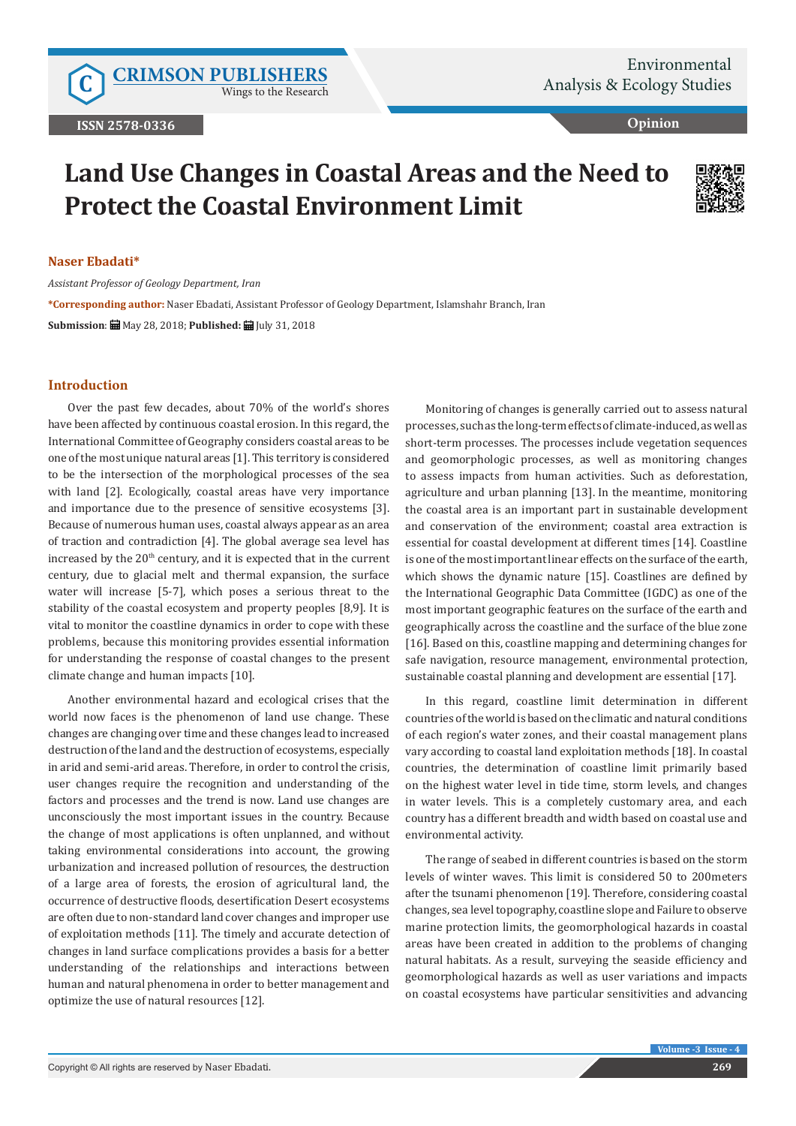Wings to the Research

**Opinion**

# **Land Use Changes in Coastal Areas and the Need to Protect the Coastal Environment Limit**



#### **Naser Ebadati\***

*Assistant Professor of Geology Department, Iran*

**\*Corresponding author:** Naser Ebadati, Assistant Professor of Geology Department, Islamshahr Branch, Iran **Submission**: May 28, 2018; **Published:** July 31, 2018

### **Introduction**

Over the past few decades, about 70% of the world's shores have been affected by continuous coastal erosion. In this regard, the International Committee of Geography considers coastal areas to be one of the most unique natural areas [1]. This territory is considered to be the intersection of the morphological processes of the sea with land [2]. Ecologically, coastal areas have very importance and importance due to the presence of sensitive ecosystems [3]. Because of numerous human uses, coastal always appear as an area of traction and contradiction [4]. The global average sea level has increased by the  $20<sup>th</sup>$  century, and it is expected that in the current century, due to glacial melt and thermal expansion, the surface water will increase [5-7], which poses a serious threat to the stability of the coastal ecosystem and property peoples [8,9]. It is vital to monitor the coastline dynamics in order to cope with these problems, because this monitoring provides essential information for understanding the response of coastal changes to the present climate change and human impacts [10].

Another environmental hazard and ecological crises that the world now faces is the phenomenon of land use change. These changes are changing over time and these changes lead to increased destruction of the land and the destruction of ecosystems, especially in arid and semi-arid areas. Therefore, in order to control the crisis, user changes require the recognition and understanding of the factors and processes and the trend is now. Land use changes are unconsciously the most important issues in the country. Because the change of most applications is often unplanned, and without taking environmental considerations into account, the growing urbanization and increased pollution of resources, the destruction of a large area of forests, the erosion of agricultural land, the occurrence of destructive floods, desertification Desert ecosystems are often due to non-standard land cover changes and improper use of exploitation methods [11]. The timely and accurate detection of changes in land surface complications provides a basis for a better understanding of the relationships and interactions between human and natural phenomena in order to better management and optimize the use of natural resources [12].

Monitoring of changes is generally carried out to assess natural processes, such as the long-term effects of climate-induced, as well as short-term processes. The processes include vegetation sequences and geomorphologic processes, as well as monitoring changes to assess impacts from human activities. Such as deforestation, agriculture and urban planning [13]. In the meantime, monitoring the coastal area is an important part in sustainable development and conservation of the environment; coastal area extraction is essential for coastal development at different times [14]. Coastline is one of the most important linear effects on the surface of the earth, which shows the dynamic nature [15]. Coastlines are defined by the International Geographic Data Committee (IGDC) as one of the most important geographic features on the surface of the earth and geographically across the coastline and the surface of the blue zone [16]. Based on this, coastline mapping and determining changes for safe navigation, resource management, environmental protection, sustainable coastal planning and development are essential [17].

In this regard, coastline limit determination in different countries of the world is based on the climatic and natural conditions of each region's water zones, and their coastal management plans vary according to coastal land exploitation methods [18]. In coastal countries, the determination of coastline limit primarily based on the highest water level in tide time, storm levels, and changes in water levels. This is a completely customary area, and each country has a different breadth and width based on coastal use and environmental activity.

The range of seabed in different countries is based on the storm levels of winter waves. This limit is considered 50 to 200meters after the tsunami phenomenon [19]. Therefore, considering coastal changes, sea level topography, coastline slope and Failure to observe marine protection limits, the geomorphological hazards in coastal areas have been created in addition to the problems of changing natural habitats. As a result, surveying the seaside efficiency and geomorphological hazards as well as user variations and impacts on coastal ecosystems have particular sensitivities and advancing